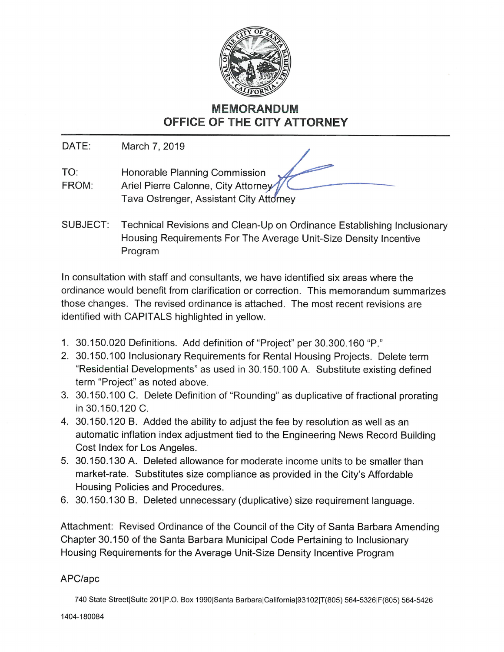

# MEMORANDUM OFFICE OF THE CITY ATTORNEY

DATE: March 7, 2019

- TO: Honorable Planning Commission FROM: Ariel Pierre Calonne, City Attorney Tava Ostrenger, Assistant City Attorney
- SUBJECT: Technical Revisions and Clean-Up on Ordinance Establishing Inclusionary Housing Requirements For The Average Unit-Size Density Incentive Program

In consultation with staff and consultants, we have identified six areas where the ordinance would benefit from clarification or correction. This memorandum summarizes those changes. The revised ordinance is attached. The most recent revisions are identified with CAPITALS highlighted in yellow.

- 1. 30. 150. 020 Definitions. Add definition of "Project" per 30. 300. 160 "P."
- 2. 30.150.100 Inclusionary Requirements for Rental Housing Projects. Delete term "Residential Developments" as used in 30. 150. 100 A. Substitute existing defined term "Project" as noted above.
- 3. 30.150.100 C. Delete Definition of "Rounding" as duplicative of fractional prorating in 30.150.120 C.
- 4. 30. 150. 120 B. Added the ability to adjust the fee by resolution as well as an automatic inflation index adjustment tied to the Engineering News Record Building Cost Index for Los Angeles.
- 5. 30. 150. 130 A. Deleted allowance for moderate income units to be smaller than market-rate. Substitutes size compliance as provided in the City's Affordable Housing Policies and Procedures.
- 6. 30. 150. 130 B. Deleted unnecessary (duplicative) size requirement language.

Attachment: Revised Ordinance of the Council of the City of Santa Barbara Amending Chapter 30. 150 of the Santa Barbara Municipal Code Pertaining to Inclusionary Housing Requirements for the Average Unit-Size Density Incentive Program

## APC/apc

740 State Street|Suite 201|P.O. Box 1990|Santa Barbara|California|93102|T(805) 564-5326|F(805) 564-5426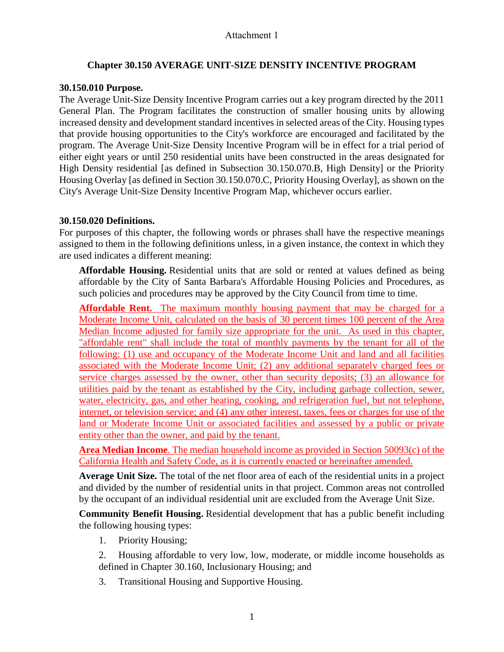## **Chapter 30.150 AVERAGE UNIT-SIZE DENSITY INCENTIVE PROGRAM**

## **30.150.010 Purpose.**

The Average Unit-Size Density Incentive Program carries out a key program directed by the 2011 General Plan. The Program facilitates the construction of smaller housing units by allowing increased density and development standard incentives in selected areas of the City. Housing types that provide housing opportunities to the City's workforce are encouraged and facilitated by the program. The Average Unit-Size Density Incentive Program will be in effect for a trial period of either eight years or until 250 residential units have been constructed in the areas designated for High Density residential [as defined in Subsection 30.150.070.B, High Density] or the Priority Housing Overlay [as defined in Section 30.150.070.C, Priority Housing Overlay], as shown on the City's Average Unit-Size Density Incentive Program Map, whichever occurs earlier.

## **30.150.020 Definitions.**

For purposes of this chapter, the following words or phrases shall have the respective meanings assigned to them in the following definitions unless, in a given instance, the context in which they are used indicates a different meaning:

**Affordable Housing.** Residential units that are sold or rented at values defined as being affordable by the City of Santa Barbara's Affordable Housing Policies and Procedures, as such policies and procedures may be approved by the City Council from time to time.

**Affordable Rent.** The maximum monthly housing payment that may be charged for a Moderate Income Unit, calculated on the basis of 30 percent times 100 percent of the Area Median Income adjusted for family size appropriate for the unit. As used in this chapter, "affordable rent" shall include the total of monthly payments by the tenant for all of the following: (1) use and occupancy of the Moderate Income Unit and land and all facilities associated with the Moderate Income Unit; (2) any additional separately charged fees or service charges assessed by the owner, other than security deposits; (3) an allowance for utilities paid by the tenant as established by the City, including garbage collection, sewer, water, electricity, gas, and other heating, cooking, and refrigeration fuel, but not telephone, internet, or television service; and (4) any other interest, taxes, fees or charges for use of the land or Moderate Income Unit or associated facilities and assessed by a public or private entity other than the owner, and paid by the tenant.

**Area Median Income**. The median household income as provided in Section 50093(c) of the California Health and Safety Code, as it is currently enacted or hereinafter amended.

**Average Unit Size.** The total of the net floor area of each of the residential units in a project and divided by the number of residential units in that project. Common areas not controlled by the occupant of an individual residential unit are excluded from the Average Unit Size.

**Community Benefit Housing.** Residential development that has a public benefit including the following housing types:

- 1. Priority Housing;
- 2. Housing affordable to very low, low, moderate, or middle income households as defined in Chapter 30.160, Inclusionary Housing; and
- 3. Transitional Housing and Supportive Housing.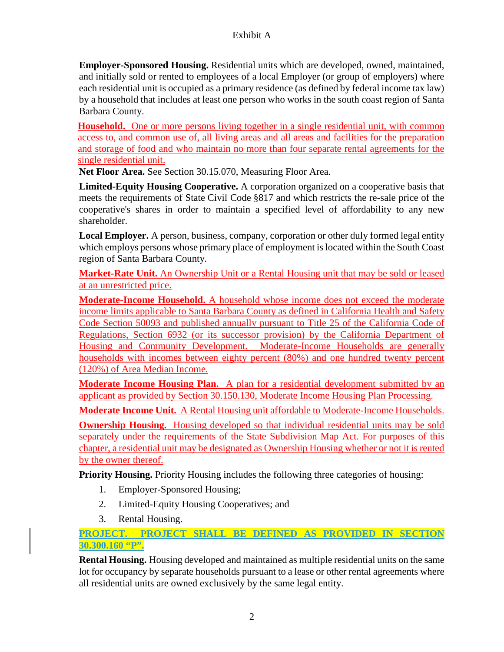**Employer-Sponsored Housing.** Residential units which are developed, owned, maintained, and initially sold or rented to employees of a local Employer (or group of employers) where each residential unit is occupied as a primary residence (as defined by federal income tax law) by a household that includes at least one person who works in the south coast region of Santa Barbara County.

**Household.** One or more persons living together in a single residential unit, with common access to, and common use of, all living areas and all areas and facilities for the preparation and storage of food and who maintain no more than four separate rental agreements for the single residential unit.

**Net Floor Area.** See Section 30.15.070, Measuring Floor Area.

**Limited-Equity Housing Cooperative.** A corporation organized on a cooperative basis that meets the requirements of State Civil Code §817 and which restricts the re-sale price of the cooperative's shares in order to maintain a specified level of affordability to any new shareholder.

**Local Employer.** A person, business, company, corporation or other duly formed legal entity which employs persons whose primary place of employment is located within the South Coast region of Santa Barbara County.

**Market-Rate Unit.** An Ownership Unit or a Rental Housing unit that may be sold or leased at an unrestricted price.

**Moderate-Income Household.** A household whose income does not exceed the moderate income limits applicable to Santa Barbara County as defined in California Health and Safety Code Section 50093 and published annually pursuant to Title 25 of the California Code of Regulations, Section 6932 (or its successor provision) by the California Department of Housing and Community Development. Moderate-Income Households are generally households with incomes between eighty percent (80%) and one hundred twenty percent (120%) of Area Median Income.

**Moderate Income Housing Plan.** A plan for a residential development submitted by an applicant as provided by Section 30.150.130, Moderate Income Housing Plan Processing.

**Moderate Income Unit.** A Rental Housing unit affordable to Moderate-Income Households.

**Ownership Housing.** Housing developed so that individual residential units may be sold separately under the requirements of the State Subdivision Map Act. For purposes of this chapter, a residential unit may be designated as Ownership Housing whether or not it is rented by the owner thereof.

**Priority Housing.** Priority Housing includes the following three categories of housing:

- 1. Employer-Sponsored Housing;
- 2. Limited-Equity Housing Cooperatives; and
- 3. Rental Housing.

**PROJECT. PROJECT SHALL BE DEFINED AS PROVIDED IN SECTION 30.300.160 "P".**

**Rental Housing.** Housing developed and maintained as multiple residential units on the same lot for occupancy by separate households pursuant to a lease or other rental agreements where all residential units are owned exclusively by the same legal entity.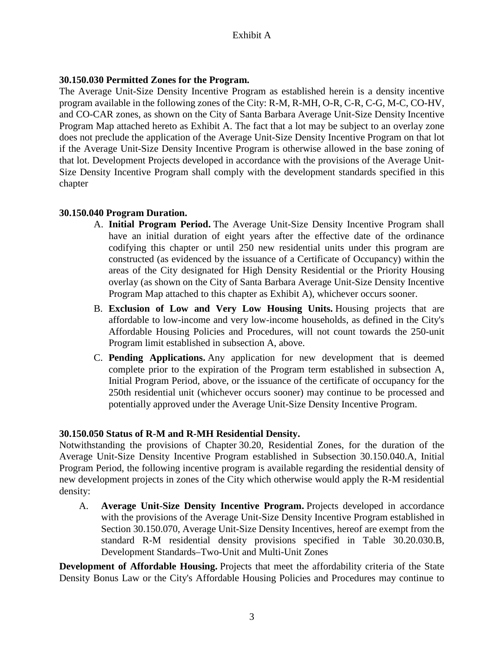#### **30.150.030 Permitted Zones for the Program.**

The Average Unit-Size Density Incentive Program as established herein is a density incentive program available in the following zones of the City: R-M, R-MH, O-R, C-R, C-G, M-C, CO-HV, and CO-CAR zones, as shown on the City of Santa Barbara Average Unit-Size Density Incentive Program Map attached hereto as Exhibit A. The fact that a lot may be subject to an overlay zone does not preclude the application of the Average Unit-Size Density Incentive Program on that lot if the Average Unit-Size Density Incentive Program is otherwise allowed in the base zoning of that lot. Development Projects developed in accordance with the provisions of the Average Unit-Size Density Incentive Program shall comply with the development standards specified in this chapter

#### **30.150.040 Program Duration.**

- A. **Initial Program Period.** The Average Unit-Size Density Incentive Program shall have an initial duration of eight years after the effective date of the ordinance codifying this chapter or until 250 new residential units under this program are constructed (as evidenced by the issuance of a Certificate of Occupancy) within the areas of the City designated for High Density Residential or the Priority Housing overlay (as shown on the City of Santa Barbara Average Unit-Size Density Incentive Program Map attached to this chapter as Exhibit A), whichever occurs sooner.
- B. **Exclusion of Low and Very Low Housing Units.** Housing projects that are affordable to low-income and very low-income households, as defined in the City's Affordable Housing Policies and Procedures, will not count towards the 250-unit Program limit established in subsection A, above.
- C. **Pending Applications.** Any application for new development that is deemed complete prior to the expiration of the Program term established in subsection A, Initial Program Period, above, or the issuance of the certificate of occupancy for the 250th residential unit (whichever occurs sooner) may continue to be processed and potentially approved under the Average Unit-Size Density Incentive Program.

#### **30.150.050 Status of R-M and R-MH Residential Density.**

Notwithstanding the provisions of Chapter 30.20, Residential Zones, for the duration of the Average Unit-Size Density Incentive Program established in Subsection 30.150.040.A, Initial Program Period, the following incentive program is available regarding the residential density of new development projects in zones of the City which otherwise would apply the R-M residential density:

A. **Average Unit-Size Density Incentive Program.** Projects developed in accordance with the provisions of the Average Unit-Size Density Incentive Program established in Section 30.150.070, Average Unit-Size Density Incentives, hereof are exempt from the standard R-M residential density provisions specified in Table 30.20.030.B, Development Standards–Two-Unit and Multi-Unit Zones

**Development of Affordable Housing.** Projects that meet the affordability criteria of the State Density Bonus Law or the City's Affordable Housing Policies and Procedures may continue to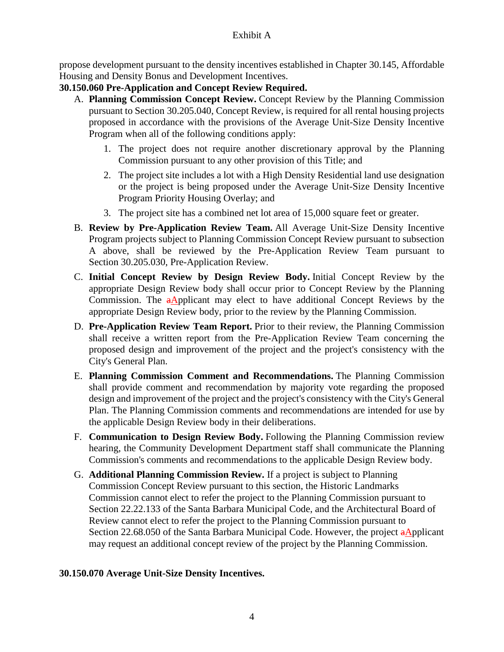propose development pursuant to the density incentives established in Chapter 30.145, Affordable Housing and Density Bonus and Development Incentives.

## **30.150.060 Pre-Application and Concept Review Required.**

- A. **Planning Commission Concept Review.** Concept Review by the Planning Commission pursuant to Section 30.205.040, Concept Review, is required for all rental housing projects proposed in accordance with the provisions of the Average Unit-Size Density Incentive Program when all of the following conditions apply:
	- 1. The project does not require another discretionary approval by the Planning Commission pursuant to any other provision of this Title; and
	- 2. The project site includes a lot with a High Density Residential land use designation or the project is being proposed under the Average Unit-Size Density Incentive Program Priority Housing Overlay; and
	- 3. The project site has a combined net lot area of 15,000 square feet or greater.
- B. **Review by Pre-Application Review Team.** All Average Unit-Size Density Incentive Program projects subject to Planning Commission Concept Review pursuant to subsection A above, shall be reviewed by the Pre-Application Review Team pursuant to Section 30.205.030, Pre-Application Review.
- C. **Initial Concept Review by Design Review Body.** Initial Concept Review by the appropriate Design Review body shall occur prior to Concept Review by the Planning Commission. The aApplicant may elect to have additional Concept Reviews by the appropriate Design Review body, prior to the review by the Planning Commission.
- D. **Pre-Application Review Team Report.** Prior to their review, the Planning Commission shall receive a written report from the Pre-Application Review Team concerning the proposed design and improvement of the project and the project's consistency with the City's General Plan.
- E. **Planning Commission Comment and Recommendations.** The Planning Commission shall provide comment and recommendation by majority vote regarding the proposed design and improvement of the project and the project's consistency with the City's General Plan. The Planning Commission comments and recommendations are intended for use by the applicable Design Review body in their deliberations.
- F. **Communication to Design Review Body.** Following the Planning Commission review hearing, the Community Development Department staff shall communicate the Planning Commission's comments and recommendations to the applicable Design Review body.
- G. **Additional Planning Commission Review.** If a project is subject to Planning Commission Concept Review pursuant to this section, the Historic Landmarks Commission cannot elect to refer the project to the Planning Commission pursuant to Section 22.22.133 of the Santa Barbara Municipal Code, and the Architectural Board of Review cannot elect to refer the project to the Planning Commission pursuant to Section 22.68.050 of the Santa Barbara Municipal Code. However, the project aApplicant may request an additional concept review of the project by the Planning Commission.

## **30.150.070 Average Unit-Size Density Incentives.**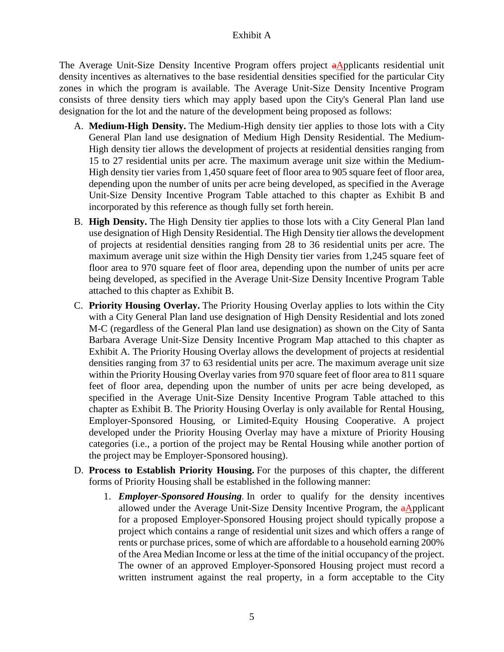The Average Unit-Size Density Incentive Program offers project aApplicants residential unit density incentives as alternatives to the base residential densities specified for the particular City zones in which the program is available. The Average Unit-Size Density Incentive Program consists of three density tiers which may apply based upon the City's General Plan land use designation for the lot and the nature of the development being proposed as follows:

- A. **Medium-High Density.** The Medium-High density tier applies to those lots with a City General Plan land use designation of Medium High Density Residential. The Medium-High density tier allows the development of projects at residential densities ranging from 15 to 27 residential units per acre. The maximum average unit size within the Medium-High density tier varies from 1,450 square feet of floor area to 905 square feet of floor area, depending upon the number of units per acre being developed, as specified in the Average Unit-Size Density Incentive Program Table attached to this chapter as Exhibit B and incorporated by this reference as though fully set forth herein.
- B. **High Density.** The High Density tier applies to those lots with a City General Plan land use designation of High Density Residential. The High Density tier allows the development of projects at residential densities ranging from 28 to 36 residential units per acre. The maximum average unit size within the High Density tier varies from 1,245 square feet of floor area to 970 square feet of floor area, depending upon the number of units per acre being developed, as specified in the Average Unit-Size Density Incentive Program Table attached to this chapter as Exhibit B.
- C. **Priority Housing Overlay.** The Priority Housing Overlay applies to lots within the City with a City General Plan land use designation of High Density Residential and lots zoned M-C (regardless of the General Plan land use designation) as shown on the City of Santa Barbara Average Unit-Size Density Incentive Program Map attached to this chapter as Exhibit A. The Priority Housing Overlay allows the development of projects at residential densities ranging from 37 to 63 residential units per acre. The maximum average unit size within the Priority Housing Overlay varies from 970 square feet of floor area to 811 square feet of floor area, depending upon the number of units per acre being developed, as specified in the Average Unit-Size Density Incentive Program Table attached to this chapter as Exhibit B. The Priority Housing Overlay is only available for Rental Housing, Employer-Sponsored Housing, or Limited-Equity Housing Cooperative. A project developed under the Priority Housing Overlay may have a mixture of Priority Housing categories (i.e., a portion of the project may be Rental Housing while another portion of the project may be Employer-Sponsored housing).
- D. **Process to Establish Priority Housing.** For the purposes of this chapter, the different forms of Priority Housing shall be established in the following manner:
	- 1. *Employer-Sponsored Housing.* In order to qualify for the density incentives allowed under the Average Unit-Size Density Incentive Program, the aApplicant for a proposed Employer-Sponsored Housing project should typically propose a project which contains a range of residential unit sizes and which offers a range of rents or purchase prices, some of which are affordable to a household earning 200% of the Area Median Income or less at the time of the initial occupancy of the project. The owner of an approved Employer-Sponsored Housing project must record a written instrument against the real property, in a form acceptable to the City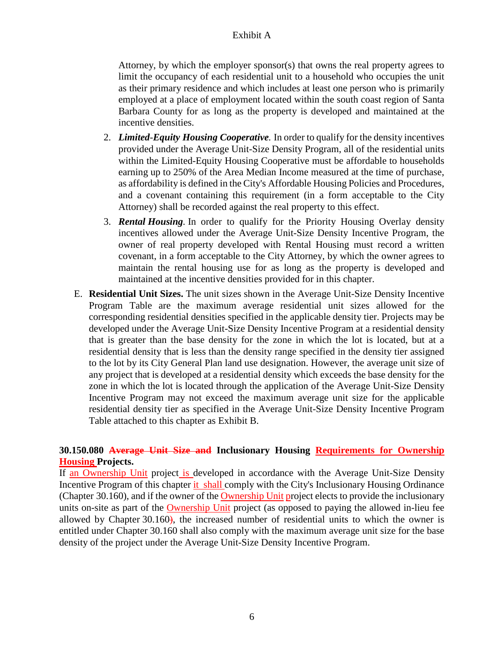Attorney, by which the employer sponsor(s) that owns the real property agrees to limit the occupancy of each residential unit to a household who occupies the unit as their primary residence and which includes at least one person who is primarily employed at a place of employment located within the south coast region of Santa Barbara County for as long as the property is developed and maintained at the incentive densities.

- 2. *Limited-Equity Housing Cooperative.* In order to qualify for the density incentives provided under the Average Unit-Size Density Program, all of the residential units within the Limited-Equity Housing Cooperative must be affordable to households earning up to 250% of the Area Median Income measured at the time of purchase, as affordability is defined in the City's Affordable Housing Policies and Procedures, and a covenant containing this requirement (in a form acceptable to the City Attorney) shall be recorded against the real property to this effect.
- 3. *Rental Housing.* In order to qualify for the Priority Housing Overlay density incentives allowed under the Average Unit-Size Density Incentive Program, the owner of real property developed with Rental Housing must record a written covenant, in a form acceptable to the City Attorney, by which the owner agrees to maintain the rental housing use for as long as the property is developed and maintained at the incentive densities provided for in this chapter.
- E. **Residential Unit Sizes.** The unit sizes shown in the Average Unit-Size Density Incentive Program Table are the maximum average residential unit sizes allowed for the corresponding residential densities specified in the applicable density tier. Projects may be developed under the Average Unit-Size Density Incentive Program at a residential density that is greater than the base density for the zone in which the lot is located, but at a residential density that is less than the density range specified in the density tier assigned to the lot by its City General Plan land use designation. However, the average unit size of any project that is developed at a residential density which exceeds the base density for the zone in which the lot is located through the application of the Average Unit-Size Density Incentive Program may not exceed the maximum average unit size for the applicable residential density tier as specified in the Average Unit-Size Density Incentive Program Table attached to this chapter as Exhibit B.

#### **30.150.080 Average Unit Size and Inclusionary Housing Requirements for Ownership Housing Projects.**

If an Ownership Unit project is developed in accordance with the Average Unit-Size Density Incentive Program of this chapter it shall comply with the City's Inclusionary Housing Ordinance (Chapter 30.160), and if the owner of the Ownership Unit project elects to provide the inclusionary units on-site as part of the **Ownership Unit** project (as opposed to paying the allowed in-lieu fee allowed by Chapter 30.160), the increased number of residential units to which the owner is entitled under Chapter 30.160 shall also comply with the maximum average unit size for the base density of the project under the Average Unit-Size Density Incentive Program.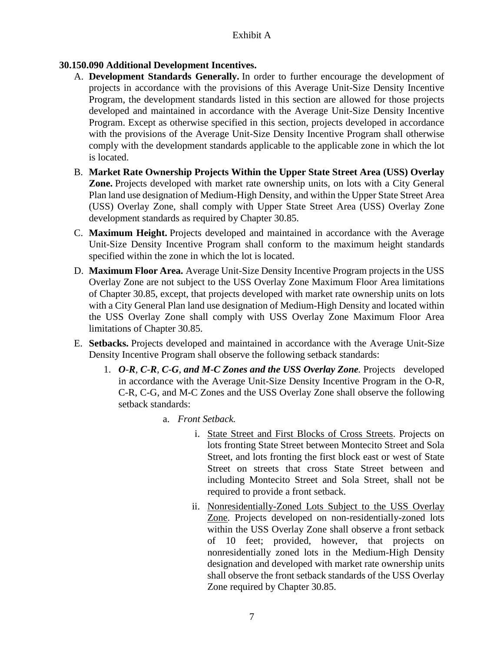## **30.150.090 Additional Development Incentives.**

- A. **Development Standards Generally.** In order to further encourage the development of projects in accordance with the provisions of this Average Unit-Size Density Incentive Program, the development standards listed in this section are allowed for those projects developed and maintained in accordance with the Average Unit-Size Density Incentive Program. Except as otherwise specified in this section, projects developed in accordance with the provisions of the Average Unit-Size Density Incentive Program shall otherwise comply with the development standards applicable to the applicable zone in which the lot is located.
- B. **Market Rate Ownership Projects Within the Upper State Street Area (USS) Overlay Zone.** Projects developed with market rate ownership units, on lots with a City General Plan land use designation of Medium-High Density, and within the Upper State Street Area (USS) Overlay Zone, shall comply with Upper State Street Area (USS) Overlay Zone development standards as required by Chapter 30.85.
- C. **Maximum Height.** Projects developed and maintained in accordance with the Average Unit-Size Density Incentive Program shall conform to the maximum height standards specified within the zone in which the lot is located.
- D. **Maximum Floor Area.** Average Unit-Size Density Incentive Program projects in the USS Overlay Zone are not subject to the USS Overlay Zone Maximum Floor Area limitations of Chapter 30.85, except, that projects developed with market rate ownership units on lots with a City General Plan land use designation of Medium-High Density and located within the USS Overlay Zone shall comply with USS Overlay Zone Maximum Floor Area limitations of Chapter 30.85.
- E. **Setbacks.** Projects developed and maintained in accordance with the Average Unit-Size Density Incentive Program shall observe the following setback standards:
	- 1. O-R, C-R, C-G, and M-C Zones and the USS Overlay Zone. Projects developed in accordance with the Average Unit-Size Density Incentive Program in the O-R, C-R, C-G, and M-C Zones and the USS Overlay Zone shall observe the following setback standards:
		- a. *Front Setback.*
			- i. State Street and First Blocks of Cross Streets. Projects on lots fronting State Street between Montecito Street and Sola Street, and lots fronting the first block east or west of State Street on streets that cross State Street between and including Montecito Street and Sola Street, shall not be required to provide a front setback.
			- ii. Nonresidentially-Zoned Lots Subject to the USS Overlay Zone. Projects developed on non-residentially-zoned lots within the USS Overlay Zone shall observe a front setback of 10 feet; provided, however, that projects on nonresidentially zoned lots in the Medium-High Density designation and developed with market rate ownership units shall observe the front setback standards of the USS Overlay Zone required by Chapter 30.85.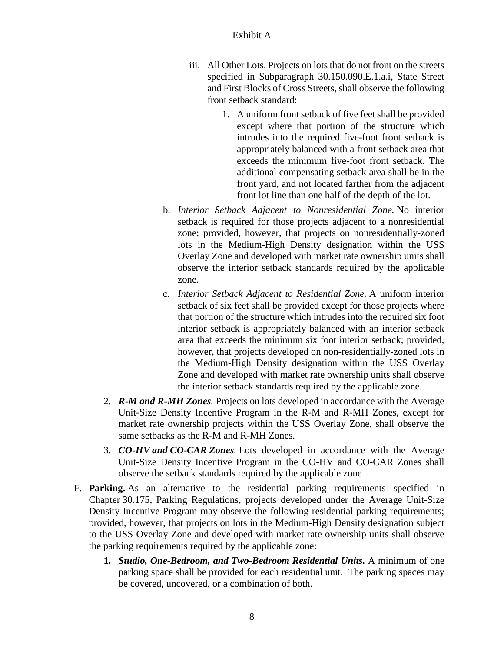- iii. All Other Lots. Projects on lots that do not front on the streets specified in Subparagraph 30.150.090.E.1.a.i, State Street and First Blocks of Cross Streets, shall observe the following front setback standard:
	- 1. A uniform front setback of five feet shall be provided except where that portion of the structure which intrudes into the required five-foot front setback is appropriately balanced with a front setback area that exceeds the minimum five-foot front setback. The additional compensating setback area shall be in the front yard, and not located farther from the adjacent front lot line than one half of the depth of the lot.
- b. *Interior Setback Adjacent to Nonresidential Zone.* No interior setback is required for those projects adjacent to a nonresidential zone; provided, however, that projects on nonresidentially-zoned lots in the Medium-High Density designation within the USS Overlay Zone and developed with market rate ownership units shall observe the interior setback standards required by the applicable zone.
- c. *Interior Setback Adjacent to Residential Zone.* A uniform interior setback of six feet shall be provided except for those projects where that portion of the structure which intrudes into the required six foot interior setback is appropriately balanced with an interior setback area that exceeds the minimum six foot interior setback; provided, however, that projects developed on non-residentially-zoned lots in the Medium-High Density designation within the USS Overlay Zone and developed with market rate ownership units shall observe the interior setback standards required by the applicable zone.
- 2. *R-M and R-MH Zones.* Projects on lots developed in accordance with the Average Unit-Size Density Incentive Program in the R-M and R-MH Zones, except for market rate ownership projects within the USS Overlay Zone, shall observe the same setbacks as the R-M and R-MH Zones.
- 3. *CO-HV and CO-CAR Zones.* Lots developed in accordance with the Average Unit-Size Density Incentive Program in the CO-HV and CO-CAR Zones shall observe the setback standards required by the applicable zone
- F. **Parking.** As an alternative to the residential parking requirements specified in Chapter 30.175, Parking Regulations, projects developed under the Average Unit-Size Density Incentive Program may observe the following residential parking requirements; provided, however, that projects on lots in the Medium-High Density designation subject to the USS Overlay Zone and developed with market rate ownership units shall observe the parking requirements required by the applicable zone:
	- **1.** *Studio, One-Bedroom, and Two-Bedroom Residential Units.* A minimum of one parking space shall be provided for each residential unit. The parking spaces may be covered, uncovered, or a combination of both.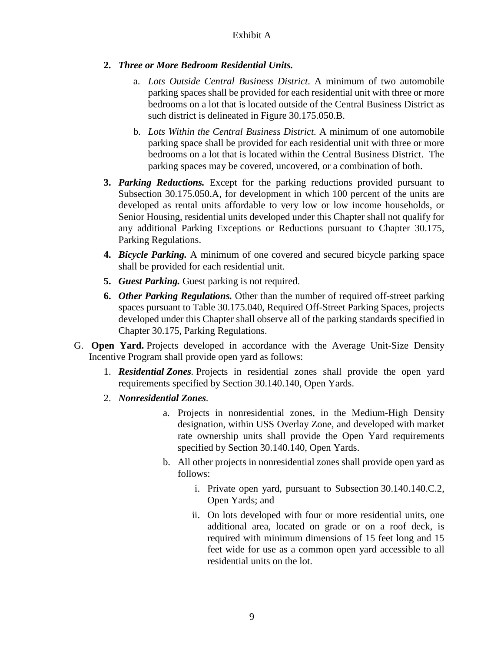- **2.** *Three or More Bedroom Residential Units.*
	- a. *Lots Outside Central Business District*. A minimum of two automobile parking spaces shall be provided for each residential unit with three or more bedrooms on a lot that is located outside of the Central Business District as such district is delineated in Figure 30.175.050.B.
	- b. *Lots Within the Central Business District.* A minimum of one automobile parking space shall be provided for each residential unit with three or more bedrooms on a lot that is located within the Central Business District. The parking spaces may be covered, uncovered, or a combination of both.
- **3.** *Parking Reductions.* Except for the parking reductions provided pursuant to Subsection 30.175.050.A, for development in which 100 percent of the units are developed as rental units affordable to very low or low income households, or Senior Housing, residential units developed under this Chapter shall not qualify for any additional Parking Exceptions or Reductions pursuant to Chapter 30.175, Parking Regulations.
- **4.** *Bicycle Parking.* A minimum of one covered and secured bicycle parking space shall be provided for each residential unit.
- **5.** *Guest Parking.* Guest parking is not required.
- **6.** *Other Parking Regulations.* Other than the number of required off-street parking spaces pursuant to Table 30.175.040, Required Off-Street Parking Spaces, projects developed under this Chapter shall observe all of the parking standards specified in Chapter 30.175, Parking Regulations.
- G. **Open Yard.** Projects developed in accordance with the Average Unit-Size Density Incentive Program shall provide open yard as follows:
	- 1. *Residential Zones.* Projects in residential zones shall provide the open yard requirements specified by Section 30.140.140, Open Yards.
	- 2. *Nonresidential Zones.*
		- a. Projects in nonresidential zones, in the Medium-High Density designation, within USS Overlay Zone, and developed with market rate ownership units shall provide the Open Yard requirements specified by Section 30.140.140, Open Yards.
		- b. All other projects in nonresidential zones shall provide open yard as follows:
			- i. Private open yard, pursuant to Subsection 30.140.140.C.2, Open Yards; and
			- ii. On lots developed with four or more residential units, one additional area, located on grade or on a roof deck, is required with minimum dimensions of 15 feet long and 15 feet wide for use as a common open yard accessible to all residential units on the lot.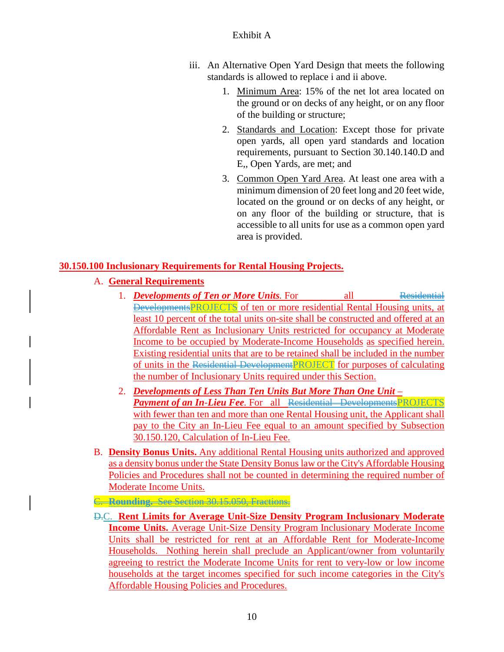- iii. An Alternative Open Yard Design that meets the following standards is allowed to replace i and ii above.
	- 1. Minimum Area: 15% of the net lot area located on the ground or on decks of any height, or on any floor of the building or structure;
	- 2. Standards and Location: Except those for private open yards, all open yard standards and location requirements, pursuant to Section 30.140.140.D and E,, Open Yards, are met; and
	- 3. Common Open Yard Area. At least one area with a minimum dimension of 20 feet long and 20 feet wide, located on the ground or on decks of any height, or on any floor of the building or structure, that is accessible to all units for use as a common open yard area is provided.

## **30.150.100 Inclusionary Requirements for Rental Housing Projects.**

## A. **General Requirements**

- 1. *Developments of Ten or More Units.* For all Residential DevelopmentsPROJECTS of ten or more residential Rental Housing units, at least 10 percent of the total units on-site shall be constructed and offered at an Affordable Rent as Inclusionary Units restricted for occupancy at Moderate Income to be occupied by Moderate-Income Households as specified herein. Existing residential units that are to be retained shall be included in the number of units in the Residential Development **PROJECT** for purposes of calculating the number of Inclusionary Units required under this Section.
- 2. *Developments of Less Than Ten Units But More Than One Unit – Payment of an In-Lieu Fee.* For all Residential DevelopmentsPROJECTS with fewer than ten and more than one Rental Housing unit, the Applicant shall pay to the City an In-Lieu Fee equal to an amount specified by Subsection 30.150.120, Calculation of In-Lieu Fee.
- B. **Density Bonus Units.** Any additional Rental Housing units authorized and approved as a density bonus under the State Density Bonus law or the City's Affordable Housing Policies and Procedures shall not be counted in determining the required number of Moderate Income Units.

## C. **Rounding.** See Section 30.15.050, Fractions.

D.C. **Rent Limits for Average Unit-Size Density Program Inclusionary Moderate Income Units.** Average Unit-Size Density Program Inclusionary Moderate Income Units shall be restricted for rent at an Affordable Rent for Moderate-Income Households. Nothing herein shall preclude an Applicant/owner from voluntarily agreeing to restrict the Moderate Income Units for rent to very-low or low income households at the target incomes specified for such income categories in the City's Affordable Housing Policies and Procedures.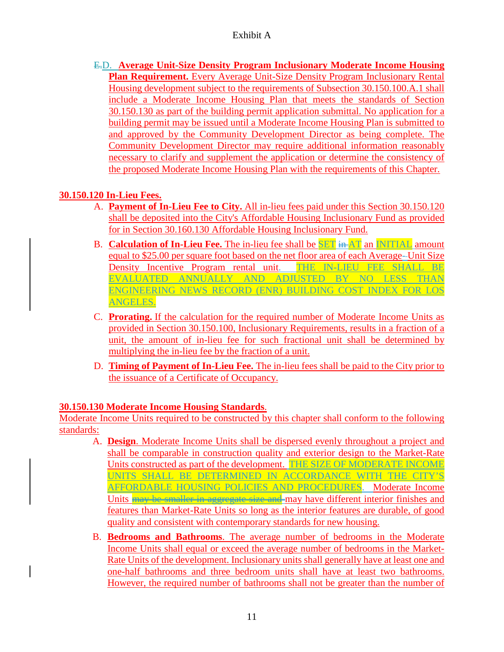E.D. **Average Unit-Size Density Program Inclusionary Moderate Income Housing Plan Requirement.** Every Average Unit-Size Density Program Inclusionary Rental Housing development subject to the requirements of Subsection 30.150.100.A.1 shall include a Moderate Income Housing Plan that meets the standards of Section 30.150.130 as part of the building permit application submittal. No application for a building permit may be issued until a Moderate Income Housing Plan is submitted to and approved by the Community Development Director as being complete. The Community Development Director may require additional information reasonably necessary to clarify and supplement the application or determine the consistency of the proposed Moderate Income Housing Plan with the requirements of this Chapter.

## **30.150.120 In-Lieu Fees.**

- A. **Payment of In-Lieu Fee to City.** All in-lieu fees paid under this Section 30.150.120 shall be deposited into the City's Affordable Housing Inclusionary Fund as provided for in Section 30.160.130 Affordable Housing Inclusionary Fund.
- B. **Calculation of In-Lieu Fee.** The in-lieu fee shall be **SET** in AT an INITIAL amount equal to \$25.00 per square foot based on the net floor area of each Average- Unit Size Density Incentive Program rental unit. THE IN-LIEU FEE SHALL BE EVALUATED ANNUALLY AND ADJUSTED BY NO LESS THAN ENGINEERING NEWS RECORD (ENR) BUILDING COST INDEX FOR LOS ANGELES.
- C. **Prorating.** If the calculation for the required number of Moderate Income Units as provided in Section 30.150.100, Inclusionary Requirements, results in a fraction of a unit, the amount of in-lieu fee for such fractional unit shall be determined by multiplying the in-lieu fee by the fraction of a unit.
- D. **Timing of Payment of In-Lieu Fee.** The in-lieu fees shall be paid to the City prior to the issuance of a Certificate of Occupancy.

#### **30.150.130 Moderate Income Housing Standards**.

Moderate Income Units required to be constructed by this chapter shall conform to the following standards:

- A. **Design**. Moderate Income Units shall be dispersed evenly throughout a project and shall be comparable in construction quality and exterior design to the Market-Rate Units constructed as part of the development. THE SIZE OF MODERATE INCOME UNITS SHALL BE DETERMINED IN ACCORDANCE WITH THE CITY'S AFFORDABLE HOUSING POLICIES AND PROCEDURES. Moderate Income Units may be smaller in aggregate size and may have different interior finishes and features than Market-Rate Units so long as the interior features are durable, of good quality and consistent with contemporary standards for new housing.
- B. **Bedrooms and Bathrooms**. The average number of bedrooms in the Moderate Income Units shall equal or exceed the average number of bedrooms in the Market-Rate Units of the development. Inclusionary units shall generally have at least one and one-half bathrooms and three bedroom units shall have at least two bathrooms. However, the required number of bathrooms shall not be greater than the number of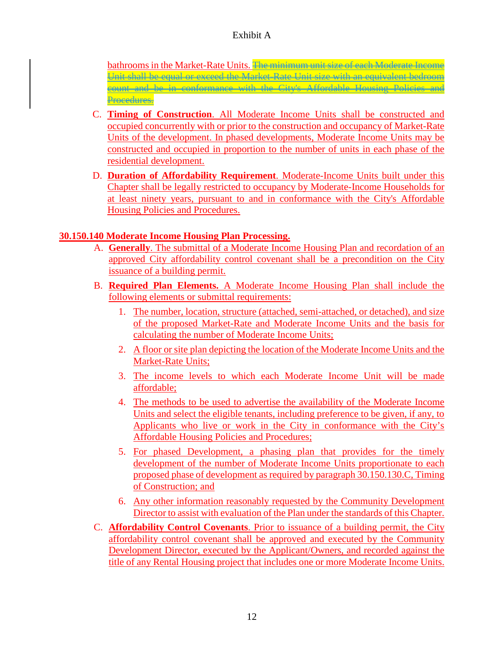bathrooms in the Market-Rate Units. The minimum unit size of each Moderate In Unit shall be equal or exceed the Market-Rate Unit size with an equivalent bedroom count and be in conformance with the City's Affordable Housing Policies and Procedures.

- C. **Timing of Construction**. All Moderate Income Units shall be constructed and occupied concurrently with or prior to the construction and occupancy of Market-Rate Units of the development. In phased developments, Moderate Income Units may be constructed and occupied in proportion to the number of units in each phase of the residential development.
- D. **Duration of Affordability Requirement**. Moderate-Income Units built under this Chapter shall be legally restricted to occupancy by Moderate-Income Households for at least ninety years, pursuant to and in conformance with the City's Affordable Housing Policies and Procedures.

#### **30.150.140 Moderate Income Housing Plan Processing.**

- A. **Generally**. The submittal of a Moderate Income Housing Plan and recordation of an approved City affordability control covenant shall be a precondition on the City issuance of a building permit.
- B. **Required Plan Elements.** A Moderate Income Housing Plan shall include the following elements or submittal requirements:
	- 1. The number, location, structure (attached, semi-attached, or detached), and size of the proposed Market-Rate and Moderate Income Units and the basis for calculating the number of Moderate Income Units;
	- 2. A floor or site plan depicting the location of the Moderate Income Units and the Market-Rate Units;
	- 3. The income levels to which each Moderate Income Unit will be made affordable;
	- 4. The methods to be used to advertise the availability of the Moderate Income Units and select the eligible tenants, including preference to be given, if any, to Applicants who live or work in the City in conformance with the City's Affordable Housing Policies and Procedures;
	- 5. For phased Development, a phasing plan that provides for the timely development of the number of Moderate Income Units proportionate to each proposed phase of development as required by paragraph 30.150.130.C, Timing of Construction; and
	- 6. Any other information reasonably requested by the Community Development Director to assist with evaluation of the Plan under the standards of this Chapter.
- C. **Affordability Control Covenants**. Prior to issuance of a building permit, the City affordability control covenant shall be approved and executed by the Community Development Director, executed by the Applicant/Owners, and recorded against the title of any Rental Housing project that includes one or more Moderate Income Units.